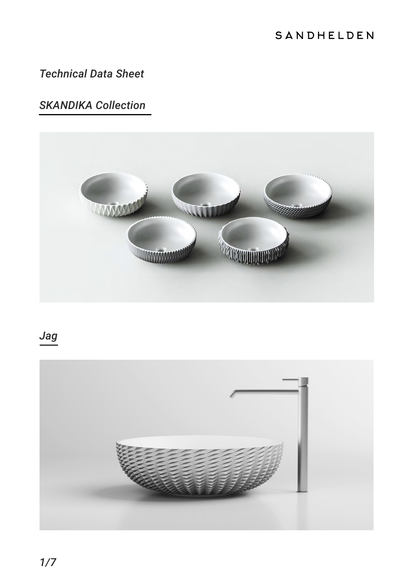#### SANDHELDEN

#### *Technical Data Sheet*

### *SKANDIKA Collection*



## *Jag*

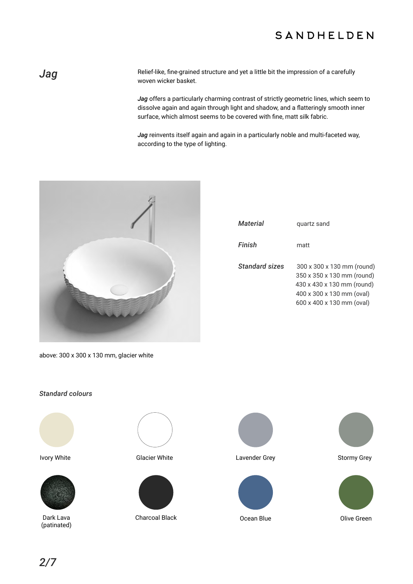#### SANDHELDEN

**Jag** Relief-like, fine-grained structure and yet a little bit the impression of a carefully woven wicker basket.

> *Jag* offers a particularly charming contrast of strictly geometric lines, which seem to dissolve again and again through light and shadow, and a flatteringly smooth inner surface, which almost seems to be covered with fine, matt silk fabric.

*Jag* reinvents itself again and again in a particularly noble and multi-faceted way, according to the type of lighting.



| <i><b>Material</b></i> | quartz sand                                                                                                                                      |
|------------------------|--------------------------------------------------------------------------------------------------------------------------------------------------|
| Finish                 | matt                                                                                                                                             |
| <b>Standard sizes</b>  | 300 x 300 x 130 mm (round)<br>350 x 350 x 130 mm (round)<br>430 x 430 x 130 mm (round)<br>400 x 300 x 130 mm (oval)<br>600 x 400 x 130 mm (oval) |

above: 300 x 300 x 130 mm, glacier white

#### *Standard colours*





Dark Lava (patinated)





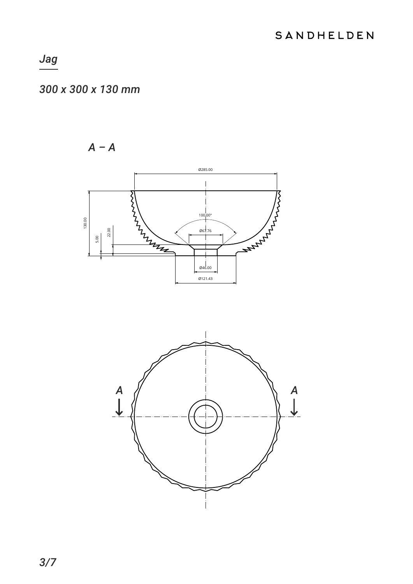### 300 x 300 x 130 mm

 $A - A$ 



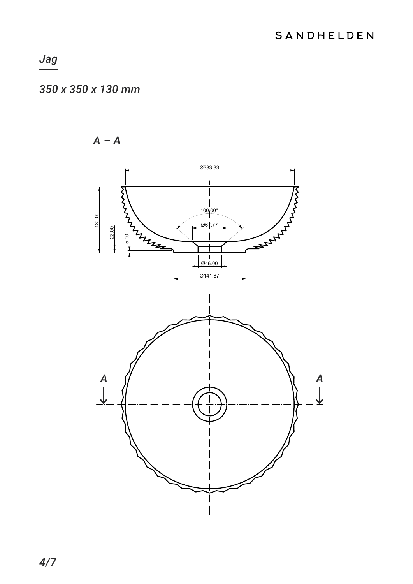#### 350 x 350 x 130 mm

 $A - A$ 

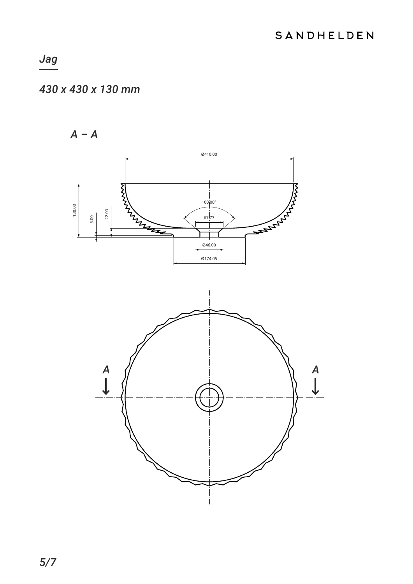## 430 x 430 x 130 mm

 $A - A$ 

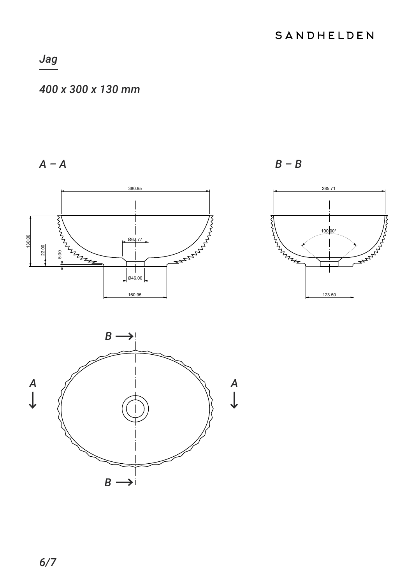#### 400 x 300 x 130 mm

 $A - A$